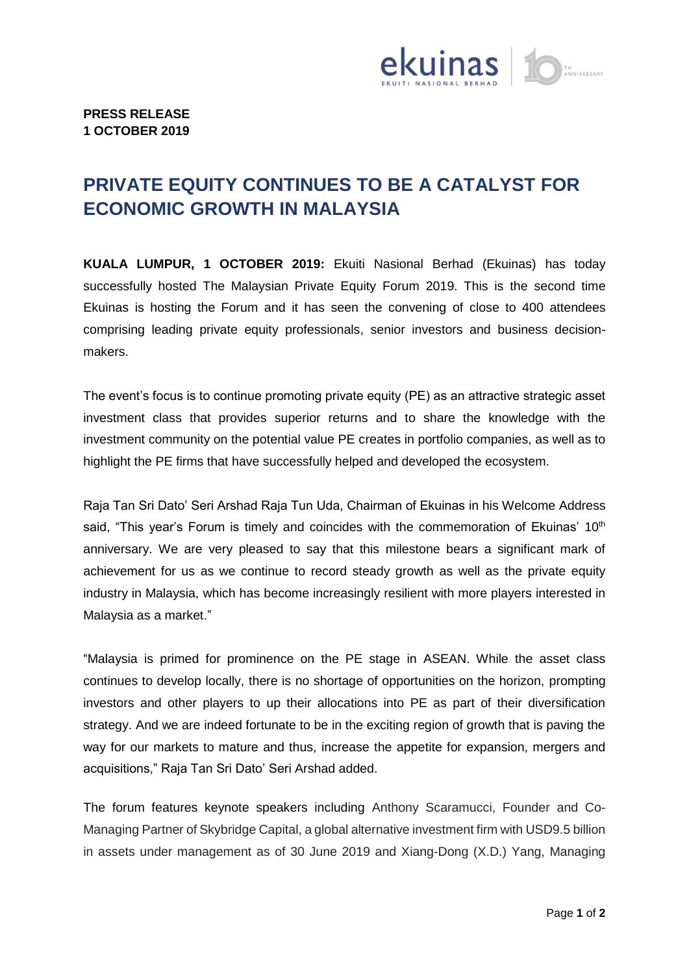

## **PRIVATE EQUITY CONTINUES TO BE A CATALYST FOR ECONOMIC GROWTH IN MALAYSIA**

**KUALA LUMPUR, 1 OCTOBER 2019:** Ekuiti Nasional Berhad (Ekuinas) has today successfully hosted The Malaysian Private Equity Forum 2019. This is the second time Ekuinas is hosting the Forum and it has seen the convening of close to 400 attendees comprising leading private equity professionals, senior investors and business decisionmakers.

The event's focus is to continue promoting private equity (PE) as an attractive strategic asset investment class that provides superior returns and to share the knowledge with the investment community on the potential value PE creates in portfolio companies, as well as to highlight the PE firms that have successfully helped and developed the ecosystem.

Raja Tan Sri Dato' Seri Arshad Raja Tun Uda, Chairman of Ekuinas in his Welcome Address said, "This year's Forum is timely and coincides with the commemoration of Ekuinas'  $10<sup>th</sup>$ anniversary. We are very pleased to say that this milestone bears a significant mark of achievement for us as we continue to record steady growth as well as the private equity industry in Malaysia, which has become increasingly resilient with more players interested in Malaysia as a market."

"Malaysia is primed for prominence on the PE stage in ASEAN. While the asset class continues to develop locally, there is no shortage of opportunities on the horizon, prompting investors and other players to up their allocations into PE as part of their diversification strategy. And we are indeed fortunate to be in the exciting region of growth that is paving the way for our markets to mature and thus, increase the appetite for expansion, mergers and acquisitions," Raja Tan Sri Dato' Seri Arshad added.

The forum features keynote speakers including Anthony Scaramucci, Founder and Co-Managing Partner of Skybridge Capital, a global alternative investment firm with USD9.5 billion in assets under management as of 30 June 2019 and Xiang-Dong (X.D.) Yang, Managing